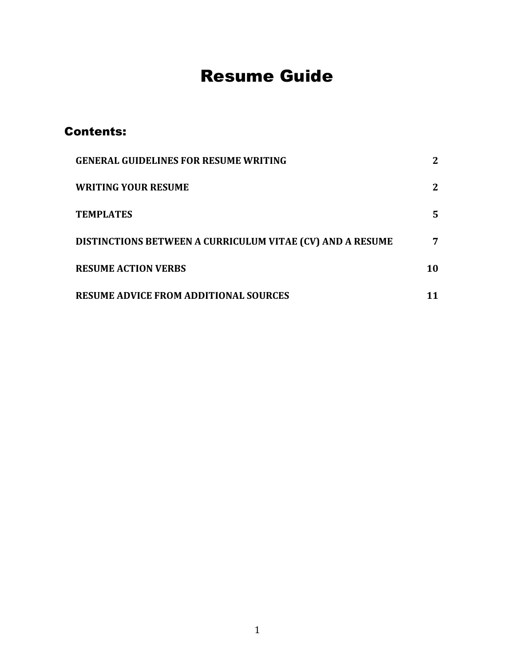# Resume Guide

## Contents:

<span id="page-0-0"></span>

| <b>GENERAL GUIDELINES FOR RESUME WRITING</b>                     |              |
|------------------------------------------------------------------|--------------|
| <b>WRITING YOUR RESUME</b>                                       | $\mathbf{2}$ |
| <b>TEMPLATES</b>                                                 | 5            |
| <b>DISTINCTIONS BETWEEN A CURRICULUM VITAE (CV) AND A RESUME</b> | 7            |
| <b>RESUME ACTION VERBS</b>                                       | 10           |
| <b>RESUME ADVICE FROM ADDITIONAL SOURCES</b>                     |              |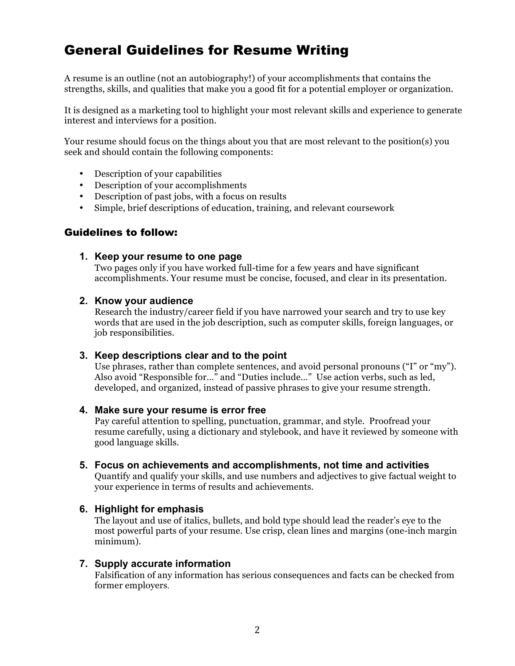# General Guidelines for Resume Writing

 A resume is an outline (not an autobiography!) of your accomplishments that contains the strengths, skills, and qualities that make you a good fit for a potential employer or organization.

 It is designed as a marketing tool to highlight your most relevant skills and experience to generate interest and interviews for a position.

 Your resume should focus on the things about you that are most relevant to the position(s) you seek and should contain the following components:

- Description of your capabilities
- Description of your accomplishments
- Description of past jobs, with a focus on results
- Simple, brief descriptions of education, training, and relevant coursework

#### Guidelines to follow:

#### **1. Keep your resume to one page**

 Two pages only if you have worked full-time for a few years and have significant accomplishments. Your resume must be concise, focused, and clear in its presentation.

#### **2. Know your audience**

 Research the industry/career field if you have narrowed your search and try to use key words that are used in the job description, such as computer skills, foreign languages, or job responsibilities.

#### **3. Keep descriptions clear and to the point**

 Use phrases, rather than complete sentences, and avoid personal pronouns ("I" or "my"). Also avoid "Responsible for…" and "Duties include…" Use action verbs, such as led, developed, and organized, instead of passive phrases to give your resume strength.

#### **4. Make sure your resume is error free**

 Pay careful attention to spelling, punctuation, grammar, and style. Proofread your resume carefully, using a dictionary and stylebook, and have it reviewed by someone with good language skills.

 **5. Focus on achievements and accomplishments, not time and activities**

 Quantify and qualify your skills, and use numbers and adjectives to give factual weight to your experience in terms of results and achievements.

#### **6. Highlight for emphasis**

 The layout and use of italics, bullets, and bold type should lead the reader's eye to the most powerful parts of your resume. Use crisp, clean lines and margins (one-inch margin minimum).

#### **7. Supply accurate information**

<span id="page-1-0"></span> Falsification of any information has serious consequences and facts can be checked from former employers.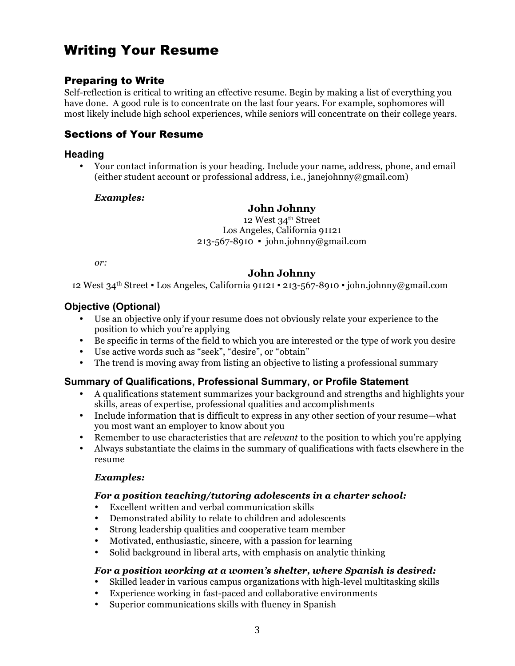# Writing Your Resume

### Preparing to Write

 Self-reflection is critical to writing an effective resume. Begin by making a list of everything you have done. A good rule is to concentrate on the last four years. For example, sophomores will most likely include high school experiences, while seniors will concentrate on their college years.

#### Sections of Your Resume

#### **Heading**

 • Your contact information is your heading. Include your name, address, phone, and email (either student account or professional address, i.e., janejohnny@gmail.com)

#### *Examples:*

#### **John Johnny**

12 West 34<sup>th</sup> Street Los Angeles, California 91121 213-567-8910 ▪ john.johnny@gmail.com

*or:* 

#### **John Johnny**

12 West 34th Street ▪ Los Angeles, California 91121 ▪ 213-567-8910 ▪ john.johnny@gmail.com

#### **Objective (Optional)**

- • Use an objective only if your resume does not obviously relate your experience to the position to which you're applying
- Be specific in terms of the field to which you are interested or the type of work you desire
- Use active words such as "seek", "desire", or "obtain"
- The trend is moving away from listing an objective to listing a professional summary

#### **Summary of Qualifications, Professional Summary, or Profile Statement**

- • A qualifications statement summarizes your background and strengths and highlights your skills, areas of expertise, professional qualities and accomplishments
- • Include information that is difficult to express in any other section of your resume—what you most want an employer to know about you
- Remember to use characteristics that are *relevant* to the position to which you're applying
- • Always substantiate the claims in the summary of qualifications with facts elsewhere in the resume

#### *Examples:*

#### *For a position teaching/tutoring adolescents in a charter school:*

- Excellent written and verbal communication skills
- Demonstrated ability to relate to children and adolescents
- Strong leadership qualities and cooperative team member
- Motivated, enthusiastic, sincere, with a passion for learning
- Solid background in liberal arts, with emphasis on analytic thinking

#### *For a position working at a women's shelter, where Spanish is desired:*

- Skilled leader in various campus organizations with high-level multitasking skills
- Experience working in fast-paced and collaborative environments
- Superior communications skills with fluency in Spanish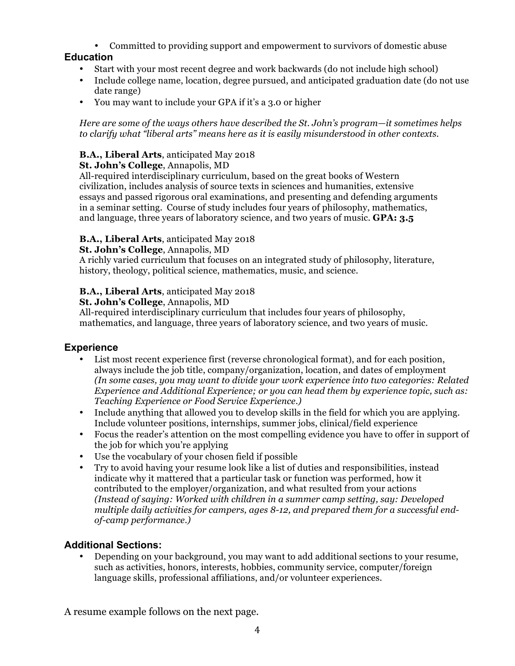• Committed to providing support and empowerment to survivors of domestic abuse

## **Education**

- Start with your most recent degree and work backwards (do not include high school)
- • Include college name, location, degree pursued, and anticipated graduation date (do not use date range)
- You may want to include your GPA if it's a 3.0 or higher

 *Here are some of the ways others have described the St. John's program—it sometimes helps to clarify what "liberal arts" means here as it is easily misunderstood in other contexts.* 

### **B.A., Liberal Arts**, anticipated May 2018

#### **St. John's College**, Annapolis, MD

 All-required interdisciplinary curriculum, based on the great books of Western civilization, includes analysis of source texts in sciences and humanities, extensive essays and passed rigorous oral examinations, and presenting and defending arguments in a seminar setting. Course of study includes four years of philosophy, mathematics, and language, three years of laboratory science, and two years of music. **GPA: 3.5** 

#### **B.A., Liberal Arts**, anticipated May 2018

#### **St. John's College**, Annapolis, MD

 A richly varied curriculum that focuses on an integrated study of philosophy, literature, history, theology, political science, mathematics, music, and science.

#### **B.A., Liberal Arts**, anticipated May 2018

 **St. John's College**, Annapolis, MD

 All-required interdisciplinary curriculum that includes four years of philosophy, mathematics, and language, three years of laboratory science, and two years of music.

#### **Experience**

- • List most recent experience first (reverse chronological format), and for each position, always include the job title, company/organization, location, and dates of employment  *(In some cases, you may want to divide your work experience into two categories: Related Experience and Additional Experience; or you can head them by experience topic, such as: Teaching Experience or Food Service Experience.)*
- • Include anything that allowed you to develop skills in the field for which you are applying. Include volunteer positions, internships, summer jobs, clinical/field experience
- • Focus the reader's attention on the most compelling evidence you have to offer in support of the job for which you're applying
- Use the vocabulary of your chosen field if possible
- • Try to avoid having your resume look like a list of duties and responsibilities, instead indicate why it mattered that a particular task or function was performed, how it contributed to the employer/organization, and what resulted from your actions  *(Instead of saying: Worked with children in a summer camp setting, say: Developed multiple daily activities for campers, ages 8-12, and prepared them for a successful endof-camp performance.)*

#### **Additional Sections:**

 • Depending on your background, you may want to add additional sections to your resume, such as activities, honors, interests, hobbies, community service, computer/foreign language skills, professional affiliations, and/or volunteer experiences.

A resume example follows on the next page.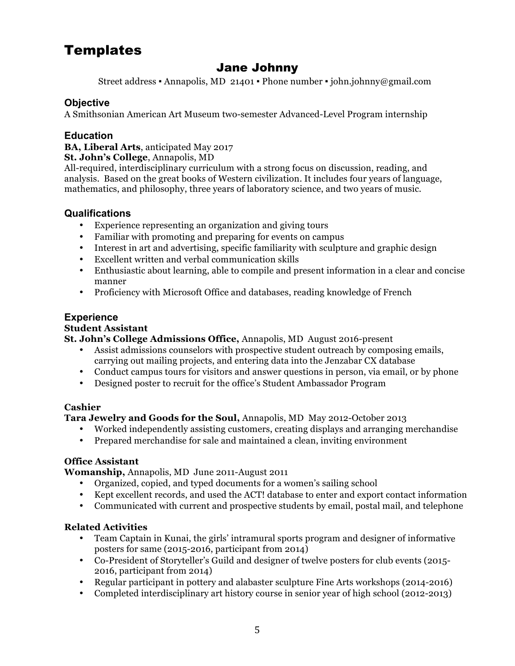# <span id="page-4-0"></span>**Templates**

# Jane Johnny

Street address ▪ Annapolis, MD 21401 ▪ Phone number ▪ john.johnny@gmail.com

#### **Objective**

A Smithsonian American Art Museum two-semester Advanced-Level Program internship

#### **Education**

 **BA, Liberal Arts**, anticipated May 2017

 **St. John's College**, Annapolis, MD

 All-required, interdisciplinary curriculum with a strong focus on discussion, reading, and analysis. Based on the great books of Western civilization. It includes four years of language, mathematics, and philosophy, three years of laboratory science, and two years of music.

#### **Qualifications**

- Experience representing an organization and giving tours
- Familiar with promoting and preparing for events on campus
- Interest in art and advertising, specific familiarity with sculpture and graphic design
- Excellent written and verbal communication skills
- • Enthusiastic about learning, able to compile and present information in a clear and concise manner
- Proficiency with Microsoft Office and databases, reading knowledge of French

#### **Experience**

#### **Student Assistant**

 **St. John's College Admissions Office,** Annapolis, MD August 2016-present

- • Assist admissions counselors with prospective student outreach by composing emails, carrying out mailing projects, and entering data into the Jenzabar CX database
- Conduct campus tours for visitors and answer questions in person, via email, or by phone
- Designed poster to recruit for the office's Student Ambassador Program

#### **Cashier**

 **Tara Jewelry and Goods for the Soul,** Annapolis, MD May 2012-October 2013

- Worked independently assisting customers, creating displays and arranging merchandise
- Prepared merchandise for sale and maintained a clean, inviting environment

#### **Office Assistant**

**Womanship,** Annapolis, MD June 2011-August 2011

- Organized, copied, and typed documents for a women's sailing school
- Kept excellent records, and used the ACT! database to enter and export contact information
- Communicated with current and prospective students by email, postal mail, and telephone

#### **Related Activities**

- • Team Captain in Kunai, the girls' intramural sports program and designer of informative posters for same (2015-2016, participant from 2014)
- • Co-President of Storyteller's Guild and designer of twelve posters for club events (2015- 2016, participant from 2014)
- Regular participant in pottery and alabaster sculpture Fine Arts workshops (2014-2016)
- Completed interdisciplinary art history course in senior year of high school (2012-2013)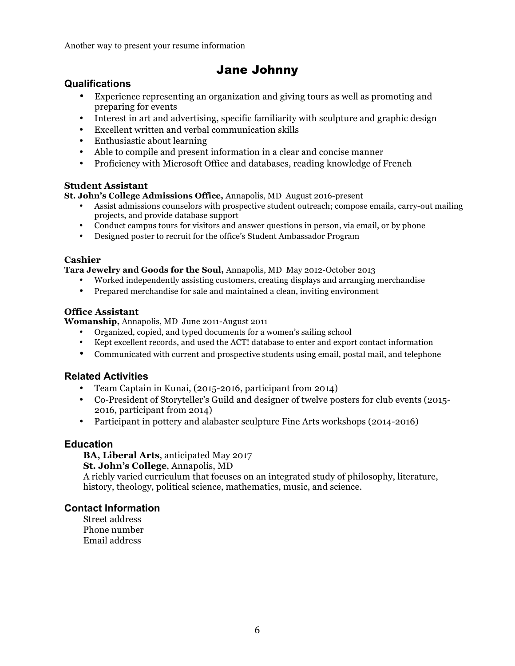Another way to present your resume information

## Jane Johnny

#### **Qualifications**

- • Experience representing an organization and giving tours as well as promoting and preparing for events
- Interest in art and advertising, specific familiarity with sculpture and graphic design
- Excellent written and verbal communication skills
- Enthusiastic about learning
- Able to compile and present information in a clear and concise manner
- Proficiency with Microsoft Office and databases, reading knowledge of French

#### **Student Assistant**

 **St. John's College Admissions Office,** Annapolis, MD August 2016-present

- • Assist admissions counselors with prospective student outreach; compose emails, carry-out mailing projects, and provide database support
- Conduct campus tours for visitors and answer questions in person, via email, or by phone
- Designed poster to recruit for the office's Student Ambassador Program

#### **Cashier**

 **Tara Jewelry and Goods for the Soul,** Annapolis, MD May 2012-October 2013

- Worked independently assisting customers, creating displays and arranging merchandise
- Prepared merchandise for sale and maintained a clean, inviting environment

#### **Office Assistant**

**Womanship,** Annapolis, MD June 2011-August 2011

- Organized, copied, and typed documents for a women's sailing school
- Kept excellent records, and used the ACT! database to enter and export contact information
- Communicated with current and prospective students using email, postal mail, and telephone

#### **Related Activities**

- Team Captain in Kunai, (2015-2016, participant from 2014)
- • Co-President of Storyteller's Guild and designer of twelve posters for club events (2015- 2016, participant from 2014)
- Participant in pottery and alabaster sculpture Fine Arts workshops (2014-2016)

#### **Education**

 **BA, Liberal Arts**, anticipated May 2017

 **St. John's College**, Annapolis, MD

 A richly varied curriculum that focuses on an integrated study of philosophy, literature, history, theology, political science, mathematics, music, and science.

#### **Contact Information**

Street address Phone number Email address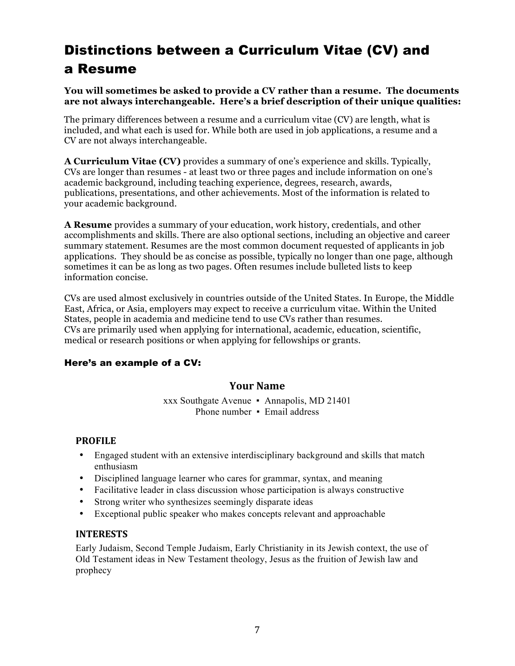# <span id="page-6-0"></span> Distinctions between a Curriculum Vitae (CV) and a Resume

#### **You will sometimes be asked to provide a CV rather than a resume. The documents are not always interchangeable. Here's a brief description of their unique qualities:**

 The primary differences between a resume and a curriculum vitae (CV) are length, what is included, and what each is used for. While both are used in job applications, a resume and a CV are not always interchangeable.

 **A Curriculum Vitae (CV)** provides a summary of one's experience and skills. Typically, CVs are longer than resumes - at least two or three pages and include information on one's academic background, including teaching experience, degrees, research, awards, publications, presentations, and other achievements. Most of the information is related to your academic background.

 **A Resume** provides a summary of your education, work history, credentials, and other accomplishments and skills. There are also optional sections, including an objective and career summary statement. Resumes are the most common document requested of applicants in job applications. They should be as concise as possible, typically no longer than one page, although sometimes it can be as long as two pages. Often resumes include bulleted lists to keep information concise.

 CVs are used almost exclusively in countries outside of the United States. In Europe, the Middle East, Africa, or Asia, employers may expect to receive a curriculum vitae. Within the United States, people in academia and medicine tend to use CVs rather than resumes. CVs are primarily used when applying for international, academic, education, scientific, medical or research positions or when applying for fellowships or grants.

#### Here's an example of a CV:

#### **Your Name**

 xxx Southgate Avenue ▪ Annapolis, MD 21401 Phone number • Email address

#### **PROFILE**

- • Engaged student with an extensive interdisciplinary background and skills that match enthusiasm
- Disciplined language learner who cares for grammar, syntax, and meaning
- Facilitative leader in class discussion whose participation is always constructive
- Strong writer who synthesizes seemingly disparate ideas
- Exceptional public speaker who makes concepts relevant and approachable

#### **INTERESTS**

 Early Judaism, Second Temple Judaism, Early Christianity in its Jewish context, the use of Old Testament ideas in New Testament theology, Jesus as the fruition of Jewish law and prophecy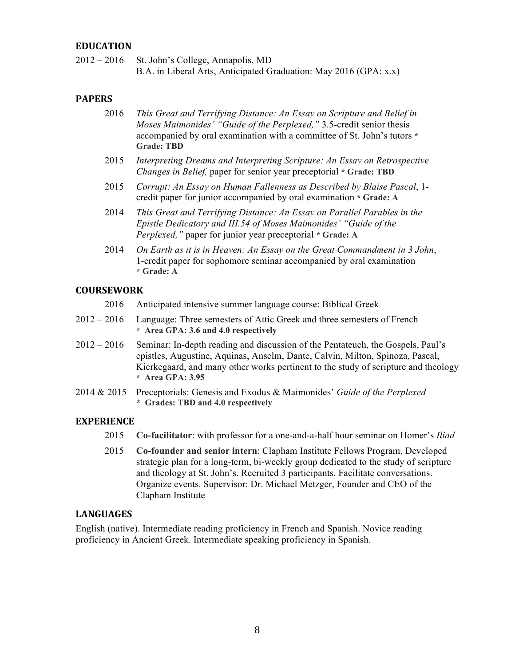#### **EDUCATION**

 $2012 - 2016$ St. John's College, Annapolis, MD B.A. in Liberal Arts, Anticipated Graduation: May 2016 (GPA: x.x)

#### **PAPERS**

- 2016 *This Great and Terrifying Distance: An Essay on Scripture and Belief in Moses Maimonides' "Guide of the Perplexed,"* 3.5-credit senior thesis accompanied by oral examination with a committee of St. John's tutors **\* Grade: TBD**
- *Changes in Belief,* paper for senior year preceptorial **\* Grade: TBD**  2015 *Interpreting Dreams and Interpreting Scripture: An Essay on Retrospective*
- 2015 *Corrupt: An Essay on Human Fallenness as Described by Blaise Pascal*, 1- credit paper for junior accompanied by oral examination **\* Grade: A**
- 2014 *This Great and Terrifying Distance: An Essay on Parallel Parables in the Epistle Dedicatory and III.54 of Moses Maimonides' "Guide of the Perplexed,"* paper for junior year preceptorial **\* Grade: A**
- 2014 *On Earth as it is in Heaven: An Essay on the Great Commandment in 3 John*, 1-credit paper for sophomore seminar accompanied by oral examination **\* Grade: A**

#### **COURSEWORK**

- 2016 Anticipated intensive summer language course: Biblical Greek
- $2012 2016$  **\* Area GPA: 3.6 and 4.0 respectively**  Language: Three semesters of Attic Greek and three semesters of French
- $2012 2016$  epistles, Augustine, Aquinas, Anselm, Dante, Calvin, Milton, Spinoza, Pascal, Kierkegaard, and many other works pertinent to the study of scripture and theology **\* Area GPA: 3.95**  Seminar: In-depth reading and discussion of the Pentateuch, the Gospels, Paul's
- 2014 & 2015 Preceptorials: Genesis and Exodus & Maimonides' *Guide of the Perplexed*  **\* Grades: TBD and 4.0 respectively**

#### **EXPERIENCE**

- 2015 **Co-facilitator**: with professor for a one-and-a-half hour seminar on Homer's *Iliad*
- 2015 **Co-founder and senior intern**: Clapham Institute Fellows Program. Developed strategic plan for a long-term, bi-weekly group dedicated to the study of scripture and theology at St. John's. Recruited 3 participants. Facilitate conversations. Organize events. Supervisor: Dr. Michael Metzger, Founder and CEO of the Clapham Institute

#### **LANGUAGES**

 English (native). Intermediate reading proficiency in French and Spanish. Novice reading proficiency in Ancient Greek. Intermediate speaking proficiency in Spanish.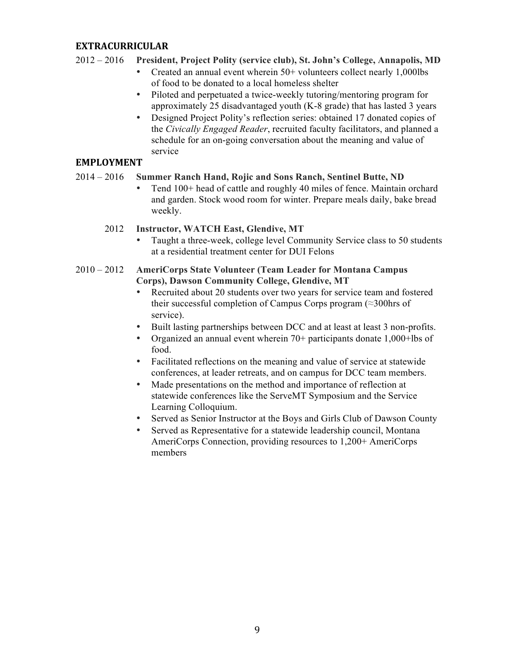#### **EXTRACURRICULAR**

#### $2012 - 2016$ President, Project Polity (service club), St. John's College, Annapolis, MD

- Created an annual event wherein 50+ volunteers collect nearly 1,000lbs of food to be donated to a local homeless shelter
- • Piloted and perpetuated a twice-weekly tutoring/mentoring program for approximately 25 disadvantaged youth (K-8 grade) that has lasted 3 years
- • Designed Project Polity's reflection series: obtained 17 donated copies of  the *Civically Engaged Reader*, recruited faculty facilitators, and planned a schedule for an on-going conversation about the meaning and value of service

#### **EMPLOYMENT**

#### $2014 - 2016$ **Summer Ranch Hand, Rojic and Sons Ranch, Sentinel Butte, ND**

 • Tend 100+ head of cattle and roughly 40 miles of fence. Maintain orchard and garden. Stock wood room for winter. Prepare meals daily, bake bread weekly.

#### 2012 **Instructor, WATCH East, Glendive, MT**

 • Taught a three-week, college level Community Service class to 50 students at a residential treatment center for DUI Felons

#### $2010 - 2012$  **Corps), Dawson Community College, Glendive, MT**  2010 – 2012 **AmeriCorps State Volunteer (Team Leader for Montana Campus**

- • Recruited about 20 students over two years for service team and fostered their successful completion of Campus Corps program (≈300hrs of service).
- Built lasting partnerships between DCC and at least at least 3 non-profits.
- • Organized an annual event wherein 70+ participants donate 1,000+lbs of food.
- • Facilitated reflections on the meaning and value of service at statewide conferences, at leader retreats, and on campus for DCC team members.
- • Made presentations on the method and importance of reflection at statewide conferences like the ServeMT Symposium and the Service Learning Colloquium.
- Served as Senior Instructor at the Boys and Girls Club of Dawson County
- • Served as Representative for a statewide leadership council, Montana AmeriCorps Connection, providing resources to 1,200+ AmeriCorps members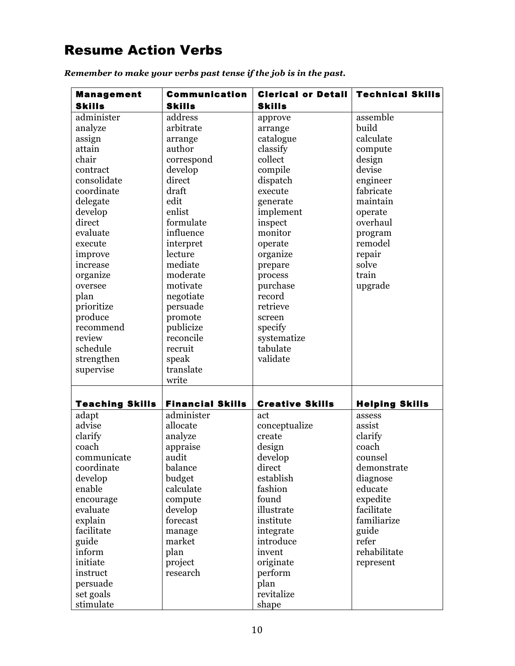# <span id="page-9-0"></span>Resume Action Verbs

| <b>Management</b>      | <b>Communication</b>    | <b>Clerical or Detail</b> | <b>Technical Skills</b> |
|------------------------|-------------------------|---------------------------|-------------------------|
| <b>Skills</b>          | <b>Skills</b>           | <b>Skills</b>             |                         |
| administer             | address                 | approve                   | assemble                |
| analyze                | arbitrate               | arrange                   | build                   |
| assign                 | arrange                 | catalogue                 | calculate               |
| attain                 | author                  | classify                  | compute                 |
| chair                  | correspond              | collect                   | design                  |
| contract               | develop                 | compile                   | devise                  |
| consolidate            | direct                  | dispatch                  | engineer                |
| coordinate             | draft                   | execute                   | fabricate               |
| delegate               | edit                    | generate                  | maintain                |
| develop                | enlist                  | implement                 | operate                 |
| direct                 | formulate               | inspect                   | overhaul                |
| evaluate               | influence               | monitor                   | program                 |
| execute                | interpret               | operate                   | remodel                 |
| improve                | lecture                 | organize                  | repair                  |
| increase               | mediate                 | prepare                   | solve                   |
| organize               | moderate                | process                   | train                   |
| oversee                | motivate                | purchase                  | upgrade                 |
| plan                   | negotiate               | record                    |                         |
| prioritize             | persuade                | retrieve                  |                         |
| produce                | promote                 | screen                    |                         |
| recommend              | publicize               | specify                   |                         |
| review                 | reconcile               | systematize               |                         |
| schedule               | recruit                 | tabulate                  |                         |
| strengthen             | speak                   | validate                  |                         |
| supervise              | translate               |                           |                         |
|                        | write                   |                           |                         |
|                        |                         |                           |                         |
| <b>Teaching Skills</b> | <b>Financial Skills</b> | <b>Creative Skills</b>    | <b>Helping Skills</b>   |
| adapt                  | administer              | act                       | assess                  |
| advise                 | allocate                | conceptualize             | assist                  |
| clarify                | analyze                 | create                    | clarify                 |
| coach                  | appraise                | design                    | coach                   |
| communicate            | audit                   | develop                   | counsel                 |
| coordinate             | balance                 | direct                    | demonstrate             |
| develop                | budget                  | establish                 | diagnose                |
| enable                 | calculate               | fashion                   | educate                 |
| encourage              | compute                 | found                     | expedite                |
| evaluate               | develop                 | illustrate                | facilitate              |
| explain                | forecast                | institute                 | familiarize             |
| facilitate             | manage                  | integrate                 | guide                   |
| guide                  | market                  | introduce                 | refer                   |
| inform                 | plan                    | invent                    | rehabilitate            |
| initiate               | project                 | originate                 | represent               |
| instruct               | research                | perform                   |                         |
| persuade               |                         | plan                      |                         |
| set goals              |                         | revitalize                |                         |
| stimulate              |                         | shape                     |                         |

 *Remember to make your verbs past tense if the job is in the past.*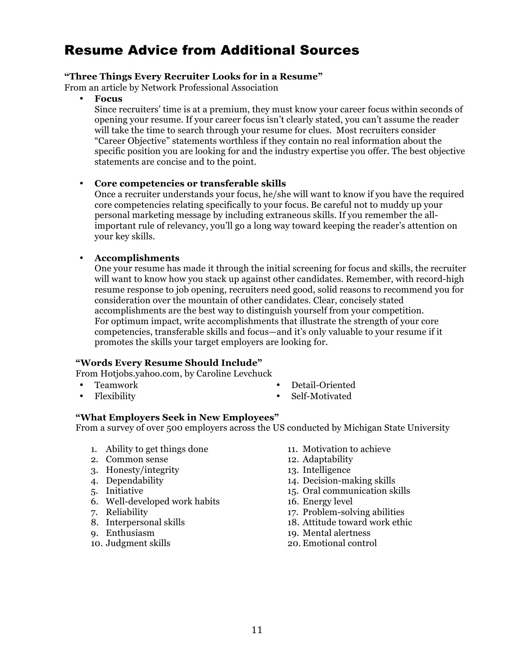# <span id="page-10-0"></span>Resume Advice from Additional Sources

#### **"Three Things Every Recruiter Looks for in a Resume"**

From an article by Network Professional Association

• **Focus** 

 Since recruiters' time is at a premium, they must know your career focus within seconds of opening your resume. If your career focus isn't clearly stated, you can't assume the reader will take the time to search through your resume for clues. Most recruiters consider "Career Objective" statements worthless if they contain no real information about the specific position you are looking for and the industry expertise you offer. The best objective statements are concise and to the point.

#### • **Core competencies or transferable skills**

 Once a recruiter understands your focus, he/she will want to know if you have the required core competencies relating specifically to your focus. Be careful not to muddy up your personal marketing message by including extraneous skills. If you remember the all- important rule of relevancy, you'll go a long way toward keeping the reader's attention on your key skills.

#### • **Accomplishments**

 One your resume has made it through the initial screening for focus and skills, the recruiter will want to know how you stack up against other candidates. Remember, with record-high resume response to job opening, recruiters need good, solid reasons to recommend you for consideration over the mountain of other candidates. Clear, concisely stated accomplishments are the best way to distinguish yourself from your competition. For optimum impact, write accomplishments that illustrate the strength of your core competencies, transferable skills and focus—and it's only valuable to your resume if it promotes the skills your target employers are looking for.

#### **"Words Every Resume Should Include"**

From Hotjobs.yahoo.com, by Caroline Levchuck

- 
- 
- Teamwork Detail-Oriented
- Flexibility Self-Motivated

#### **"What Employers Seek in New Employees"**

From a survey of over 500 employers across the US conducted by Michigan State University

- 1. Ability to get things done 11. Motivation to achieve
- 2. Common sense 12. Adaptability
- 3. Honesty/integrity 13. Intelligence
- 
- 
- 6. Well-developed work habits 16. Energy level
- 
- 
- 
- 
- 
- 
- 
- 4. Dependability 14. Decision-making skills
- 5. Initiative 15. Oral communication skills
	-
- 7. Reliability<br>
8. Interpersonal skills<br>
17. Problem-solving abilities<br>
18. Attitude toward work ethi
- 8. Interpersonal skills 18. Attitude toward work ethic
- 9. Enthusiasm 19. Mental alertness
- 10. Judgment skills 20. Emotional control